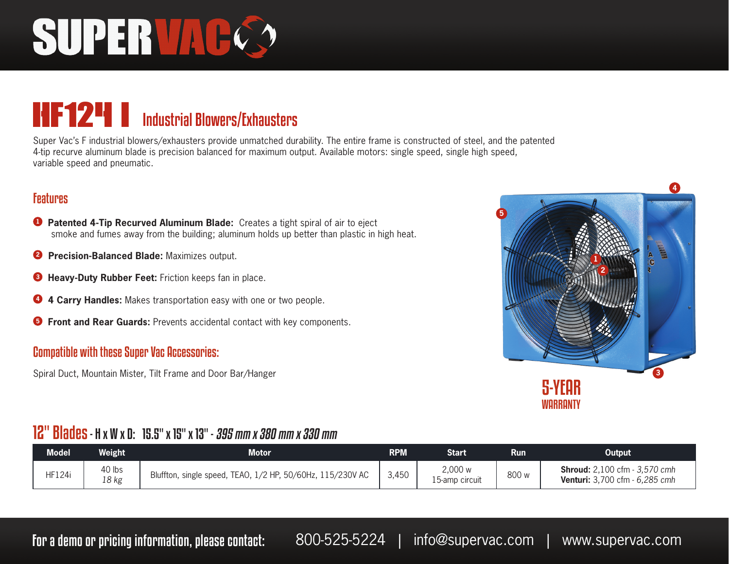# SUPERVAC

### HF124 i Industrial Blowers/Exhausters

Super Vac's F industrial blowers/exhausters provide unmatched durability. The entire frame is constructed of steel, and the patented 4-tip recurve aluminum blade is precision balanced for maximum output. Available motors: single speed, single high speed, variable speed and pneumatic.

#### **Features**

- **<sup>1</sup> Patented 4-Tip Recurved Aluminum Blade:** Creates a tight spiral of air to eject smoke and fumes away from the building; aluminum holds up better than plastic in high heat.
- **2 Precision-Balanced Blade:** Maximizes output.
- **<sup>3</sup> Heavy-Duty Rubber Feet:** Friction keeps fan in place.
- **<sup>4</sup> 4 Carry Handles:** Makes transportation easy with one or two people.
- **<sup>5</sup> Front and Rear Guards:** Prevents accidental contact with key components.

#### Compatible with these Super Vac Accessories:

Spiral Duct, Mountain Mister, Tilt Frame and Door Bar/Hanger



#### 12" Blades - H x W x D: 15.5" x 15" x 13" - 395 mm x 380 mm x 330 mm

| <b>Model</b>  | Weight          | <b>Motor</b>                                               | <b>RPM</b> | Start                     | <b>Run</b> | Output                                                                        |
|---------------|-----------------|------------------------------------------------------------|------------|---------------------------|------------|-------------------------------------------------------------------------------|
| <b>HF124i</b> | 40 lbs<br>18 kg | Bluffton, single speed, TEAO, 1/2 HP, 50/60Hz, 115/230V AC | 3,450      | 2,000 w<br>15-amp circuit | 800 w      | <b>Shroud:</b> 2,100 cfm - 3,570 cmh<br><b>Venturi:</b> 3,700 cfm - 6,285 cmh |

For a demo or pricing information, please contact: 800-525-5224 | info@supervac.com | www.supervac.com